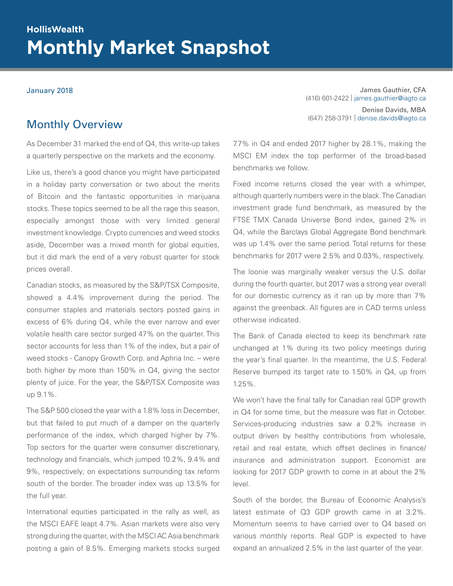# **Monthly Market Snapshot HollisWealth**

January 2018 James Gauthier, CFA (416) 601-2422 | james.gauthier@iagto.ca Denise Davids, MBA (647) 258-3791 | denise.davids@iagto.ca

# Monthly Overview

As December 31 marked the end of Q4, this write-up takes a quarterly perspective on the markets and the economy.

Like us, there's a good chance you might have participated in a holiday party conversation or two about the merits of Bitcoin and the fantastic opportunities in marijuana stocks. These topics seemed to be all the rage this season, especially amongst those with very limited general investment knowledge. Crypto currencies and weed stocks aside, December was a mixed month for global equities, but it did mark the end of a very robust quarter for stock prices overall.

Canadian stocks, as measured by the S&P/TSX Composite, showed a 4.4% improvement during the period. The consumer staples and materials sectors posted gains in excess of 6% during Q4, while the ever narrow and ever volatile health care sector surged 47% on the quarter. This sector accounts for less than 1% of the index, but a pair of weed stocks - Canopy Growth Corp. and Aphria Inc. – were both higher by more than 150% in Q4, giving the sector plenty of juice. For the year, the S&P/TSX Composite was up 9.1%.

The S&P 500 closed the year with a 1.8% loss in December, but that failed to put much of a damper on the quarterly performance of the index, which charged higher by 7%. Top sectors for the quarter were consumer discretionary, technology and financials, which jumped 10.2%, 9.4% and 9%, respectively; on expectations surrounding tax reform south of the border. The broader index was up 13.5% for the full year.

International equities participated in the rally as well, as the MSCI EAFE leapt 4.7%. Asian markets were also very strong during the quarter, with the MSCI AC Asia benchmark posting a gain of 8.5%. Emerging markets stocks surged 7.7% in Q4 and ended 2017 higher by 28.1%, making the MSCI EM index the top performer of the broad-based benchmarks we follow.

Fixed income returns closed the year with a whimper, although quarterly numbers were in the black. The Canadian investment grade fund benchmark, as measured by the FTSE TMX Canada Universe Bond index, gained 2% in Q4, while the Barclays Global Aggregate Bond benchmark was up 1.4% over the same period. Total returns for these benchmarks for 2017 were 2.5% and 0.03%, respectively.

The loonie was marginally weaker versus the U.S. dollar during the fourth quarter, but 2017 was a strong year overall for our domestic currency as it ran up by more than 7% against the greenback. All figures are in CAD terms unless otherwise indicated.

The Bank of Canada elected to keep its benchmark rate unchanged at 1% during its two policy meetings during the year's final quarter. In the meantime, the U.S. Federal Reserve bumped its target rate to 1.50% in Q4, up from 1.25%.

We won't have the final tally for Canadian real GDP growth in Q4 for some time, but the measure was flat in October. Services-producing industries saw a 0.2% increase in output driven by healthy contributions from wholesale, retail and real estate, which offset declines in finance/ insurance and administration support. Economist are looking for 2017 GDP growth to come in at about the 2% level.

South of the border, the Bureau of Economic Analysis's latest estimate of Q3 GDP growth came in at 3.2%. Momentum seems to have carried over to Q4 based on various monthly reports. Real GDP is expected to have expand an annualized 2.5% in the last quarter of the year.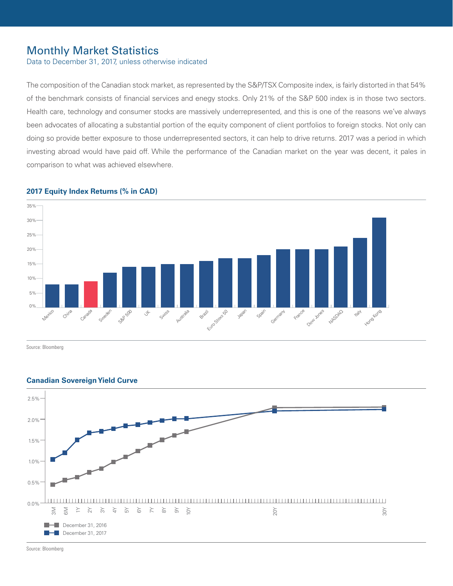# Monthly Market Statistics

Data to December 31, 2017, unless otherwise indicated

The composition of the Canadian stock market, as represented by the S&P/TSX Composite index, is fairly distorted in that 54% of the benchmark consists of financial services and enegy stocks. Only 21% of the S&P 500 index is in those two sectors. Health care, technology and consumer stocks are massively underrepresented, and this is one of the reasons we've always been advocates of allocating a substantial portion of the equity component of client portfolios to foreign stocks. Not only can doing so provide better exposure to those underrepresented sectors, it can help to drive returns. 2017 was a period in which investing abroad would have paid off. While the performance of the Canadian market on the year was decent, it pales in comparison to what was achieved elsewhere.



## **2017 Equity Index Returns (% in CAD)**

Source: Bloomberg



# **Canadian Sovereign Yield Curve** 3.0%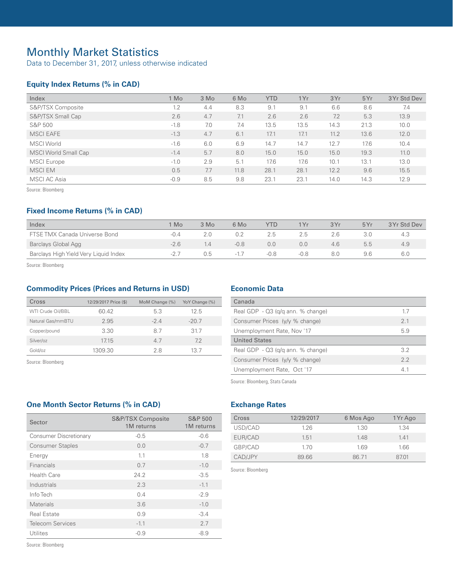# Monthly Market Statistics

Data to December 31, 2017, unless otherwise indicated

# **Equity Index Returns (% in CAD)**

| Index                | I Mo   | 3 Mo | 6 Mo | <b>YTD</b> | 1Yr  | 3Yr  | 5Yr  | 3 Yr Std Dev |
|----------------------|--------|------|------|------------|------|------|------|--------------|
| S&P/TSX Composite    | 1.2    | 4.4  | 8.3  | 9.1        | 9.1  | 6.6  | 8.6  | 7.4          |
| S&P/TSX Small Cap    | 2.6    | 4.7  | 7.1  | 2.6        | 2.6  | 7.2  | 5.3  | 13.9         |
| S&P 500              | $-1.8$ | 7.0  | 7.4  | 13.5       | 13.5 | 14.3 | 21.3 | 10.0         |
| <b>MSCI EAFE</b>     | $-1.3$ | 4.7  | 6.1  | 17.1       | 17.1 | 11.2 | 13.6 | 12.0         |
| <b>MSCI</b> World    | $-1.6$ | 6.0  | 6.9  | 14.7       | 14.7 | 12.7 | 17.6 | 10.4         |
| MSCI World Small Cap | $-1.4$ | 5.7  | 8.0  | 15.0       | 15.0 | 15.0 | 19.3 | 11.0         |
| <b>MSCI</b> Europe   | $-1.0$ | 2.9  | 5.1  | 17.6       | 17.6 | 10.1 | 13.1 | 13.0         |
| <b>MSCIEM</b>        | 0.5    | 7.7  | 11.8 | 28.1       | 28.1 | 12.2 | 9.6  | 15.5         |
| MSCI AC Asia         | $-0.9$ | 8.5  | 9.8  | 23.1       | 23.1 | 14.0 | 14.3 | 12.9         |

Source: Bloomberg

# **Fixed Income Returns (% in CAD)**

| Index                                 | Mo       | 3 Mo           | 6 Mo   | YTD    | 1Yr    | 3Yr | 5Yr | 3 Yr Std Dev |
|---------------------------------------|----------|----------------|--------|--------|--------|-----|-----|--------------|
| FTSE TMX Canada Universe Bond         | $-0.4$   |                | 0.2    | 2.5    | 2.5    | 2.6 |     | 4.3          |
| Barclays Global Agg                   | $-26$    | $\overline{4}$ | $-0.8$ | 0.0    | 0.0    | 4.6 | b.b | 4.9          |
| Barclays High Yield Very Liquid Index | $-2$ $-$ | 0.5            | $-17$  | $-0.8$ | $-0.8$ | 8.0 | 9.6 |              |

Source: Bloomberg

# **Commodity Prices (Prices and Returns in USD)**

| Cross             | 12/29/2017 Price (\$) | MoM Change (%) | YoY Change (%) |
|-------------------|-----------------------|----------------|----------------|
| WTI Crude Oil/BBL | 60.42                 | 5.3            | 12.5           |
| Natural Gas/mmBTU | 2.95                  | $-24$          | $-20.7$        |
| Copper/pound      | 3.30                  | 8.7            | 317            |
| Silver/oz         | 17.15                 | 4.7            | 7.2            |
| Gold/oz           | 1309.30               | 28             | 13.7           |

Source: Bloomberg

# **Economic Data**

| Canada                                 |     |
|----------------------------------------|-----|
| Real GDP $-$ Q3 ( $q/q$ ann. % change) | 17  |
| Consumer Prices (y/y % change)         | 21  |
| Unemployment Rate, Nov '17             | 5.9 |
| <b>United States</b>                   |     |
| Real GDP $-$ Q3 ( $q/q$ ann. % change) | 32  |
| Consumer Prices (y/y % change)         | 22  |
| Unemployment Rate, Oct '17             | 41  |

Source: Bloomberg, Stats Canada

# **One Month Sector Returns (% in CAD)**

| Sector                        | <b>S&amp;P/TSX Composite</b><br>1M returns | <b>S&amp;P 500</b><br>1M returns |
|-------------------------------|--------------------------------------------|----------------------------------|
| <b>Consumer Discretionary</b> | $-0.5$                                     | $-0.6$                           |
| <b>Consumer Staples</b>       | 0.0                                        | $-0.7$                           |
| Energy                        | 1.1                                        | 1.8                              |
| Financials                    | 0.7                                        | $-1.0$                           |
| Health Care                   | 24.2                                       | $-3.5$                           |
| Industrials                   | 2.3                                        | $-1.1$                           |
| Info Tech                     | 0.4                                        | $-2.9$                           |
| <b>Materials</b>              | 3.6                                        | $-1.0$                           |
| <b>Real Estate</b>            | 0.9                                        | $-3.4$                           |
| <b>Telecom Services</b>       | $-1.1$                                     | 2.7                              |
| Utilites                      | $-0.9$                                     | $-8.9$                           |

Source: Bloomberg

# **Exchange Rates**

| Cross   | 12/29/2017 | 6 Mos Ago | 1 Yr Ago |
|---------|------------|-----------|----------|
| USD/CAD | 126        | 1.30      | 1.34     |
| EUR/CAD | 1.51       | 148       | 141      |
| GBP/CAD | 170        | 169       | 166      |
| CAD/JPY | 89.66      | 8671      | 8701     |

Source: Bloomberg